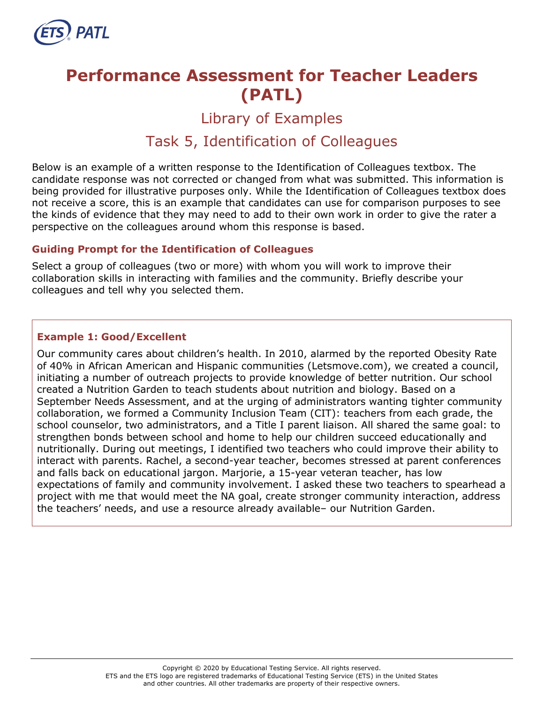

# **Performance Assessment for Teacher Leaders (PATL)**

Library of Examples

# Task 5, Identification of Colleagues

Below is an example of a written response to the Identification of Colleagues textbox. The candidate response was not corrected or changed from what was submitted. This information is being provided for illustrative purposes only. While the Identification of Colleagues textbox does not receive a score, this is an example that candidates can use for comparison purposes to see the kinds of evidence that they may need to add to their own work in order to give the rater a perspective on the colleagues around whom this response is based.

# **Guiding Prompt for the Identification of Colleagues**

Select a group of colleagues (two or more) with whom you will work to improve their collaboration skills in interacting with families and the community. Briefly describe your colleagues and tell why you selected them.

# **Example 1: Good/Excellent**

Our community cares about children's health. In 2010, alarmed by the reported Obesity Rate of 40% in African American and Hispanic communities (Letsmove.com), we created a council, initiating a number of outreach projects to provide knowledge of better nutrition. Our school created a Nutrition Garden to teach students about nutrition and biology. Based on a September Needs Assessment, and at the urging of administrators wanting tighter community collaboration, we formed a Community Inclusion Team (CIT): teachers from each grade, the school counselor, two administrators, and a Title I parent liaison. All shared the same goal: to strengthen bonds between school and home to help our children succeed educationally and nutritionally. During out meetings, I identified two teachers who could improve their ability to interact with parents. Rachel, a second-year teacher, becomes stressed at parent conferences and falls back on educational jargon. Marjorie, a 15-year veteran teacher, has low expectations of family and community involvement. I asked these two teachers to spearhead a project with me that would meet the NA goal, create stronger community interaction, address the teachers' needs, and use a resource already available– our Nutrition Garden.